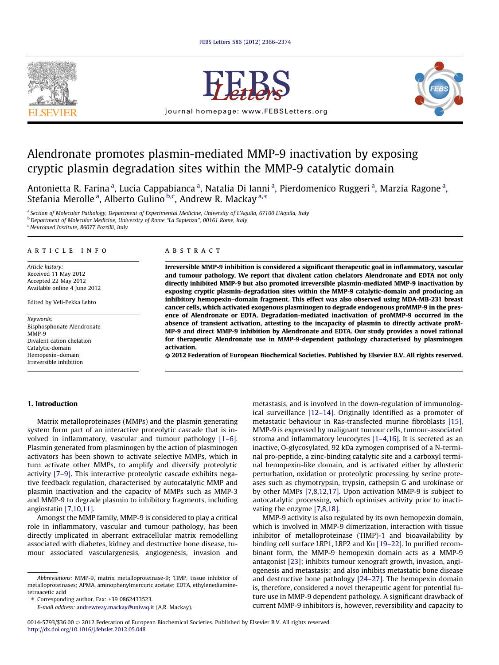







# Alendronate promotes plasmin-mediated MMP-9 inactivation by exposing cryptic plasmin degradation sites within the MMP-9 catalytic domain

Antonietta R. Farina <sup>a</sup>, Lucia Cappabianca <sup>a</sup>, Natalia Di Ianni <sup>a</sup>, Pierdomenico Ruggeri <sup>a</sup>, Marzia Ragone <sup>a</sup>, Stefania Merolle<sup>a</sup>, Alberto Gulino <sup>b,c</sup>, Andrew R. Mackay <sup>a,\*</sup>

<sup>a</sup> Section of Molecular Pathology, Department of Experimental Medicine, University of L'Aquila, 67100 L'Aquila, Italy

<sup>b</sup> Department of Molecular Medicine, University of Rome "La Sapienza", 00161 Rome, Italy

<sup>c</sup> Neuromed Institute, 86077 Pozzilli, Italy

#### article info

Article history: Received 11 May 2012 Accepted 22 May 2012 Available online 4 June 2012

Edited by Veli-Pekka Lehto

Keywords: Bisphosphonate Alendronate MMP-9 Divalent cation chelation Catalytic-domain Hemopexin–domain Irreversible inhibition

# ABSTRACT

Irreversible MMP-9 inhibition is considered a significant therapeutic goal in inflammatory, vascular and tumour pathology. We report that divalent cation chelators Alendronate and EDTA not only directly inhibited MMP-9 but also promoted irreversible plasmin-mediated MMP-9 inactivation by exposing cryptic plasmin-degradation sites within the MMP-9 catalytic-domain and producing an inhibitory hemopexin–domain fragment. This effect was also observed using MDA-MB-231 breast cancer cells, which activated exogenous plasminogen to degrade endogenous proMMP-9 in the presence of Alendronate or EDTA. Degradation-mediated inactivation of proMMP-9 occurred in the absence of transient activation, attesting to the incapacity of plasmin to directly activate proM-MP-9 and direct MMP-9 inhibition by Alendronate and EDTA. Our study provides a novel rational for therapeutic Alendronate use in MMP-9-dependent pathology characterised by plasminogen activation.

© 2012 Federation of European Biochemical Societies. Published by Elsevier B.V. All rights reserved.

#### 1. Introduction

Matrix metalloproteinases (MMPs) and the plasmin generating system form part of an interactive proteolytic cascade that is involved in inflammatory, vascular and tumour pathology [\[1–6\].](#page-7-0) Plasmin generated from plasminogen by the action of plasminogen activators has been shown to activate selective MMPs, which in turn activate other MMPs, to amplify and diversify proteolytic activity [\[7–9\]](#page-7-0). This interactive proteolytic cascade exhibits negative feedback regulation, characterised by autocatalytic MMP and plasmin inactivation and the capacity of MMPs such as MMP-3 and MMP-9 to degrade plasmin to inhibitory fragments, including angiostatin [\[7,10,11\].](#page-7-0)

Amongst the MMP family, MMP-9 is considered to play a critical role in inflammatory, vascular and tumour pathology, has been directly implicated in aberrant extracellular matrix remodelling associated with diabetes, kidney and destructive bone disease, tumour associated vasculargenesis, angiogenesis, invasion and

⇑ Corresponding author. Fax: +39 0862433523.

metastasis, and is involved in the down-regulation of immunological surveillance [\[12–14\]](#page-7-0). Originally identified as a promoter of metastatic behaviour in Ras-transfected murine fibroblasts [\[15\],](#page-7-0) MMP-9 is expressed by malignant tumour cells, tumour-associated stroma and inflammatory leucocytes [\[1–4,16\]](#page-7-0). It is secreted as an inactive, O-glycosylated, 92 kDa zymogen comprised of a N-terminal pro-peptide, a zinc-binding catalytic site and a carboxyl terminal hemopexin-like domain, and is activated either by allosteric perturbation, oxidation or proteolytic processing by serine proteases such as chymotrypsin, trypsin, cathepsin G and urokinase or by other MMPs [\[7,8,12,17\].](#page-7-0) Upon activation MMP-9 is subject to autocatalytic processing, which optimises activity prior to inactivating the enzyme [\[7,8,18\].](#page-7-0)

MMP-9 activity is also regulated by its own hemopexin domain, which is involved in MMP-9 dimerization, interaction with tissue inhibitor of metalloproteinase (TIMP)-1 and bioavailability by binding cell surface LRP1, LRP2 and Ku [\[19–22\].](#page-8-0) In purified recombinant form, the MMP-9 hemopexin domain acts as a MMP-9 antagonist [\[23\]](#page-8-0); inhibits tumour xenograft growth, invasion, angiogenesis and metastasis; and also inhibits metastatic bone disease and destructive bone pathology [\[24–27\].](#page-8-0) The hemopexin domain is, therefore, considered a novel therapeutic agent for potential future use in MMP-9 dependent pathology. A significant drawback of current MMP-9 inhibitors is, however, reversibility and capacity to

Abbreviations: MMP-9, matrix metalloproteinase-9; TIMP, tissue inhibitor of metalloproteinases; APMA, aminophenylmercuric acetate; EDTA, ethylenediaminetetraacetic acid

E-mail address: [andrewreay.mackay@univaq.it](mailto:andrewreay.mackay@univaq.it) (A.R. Mackay).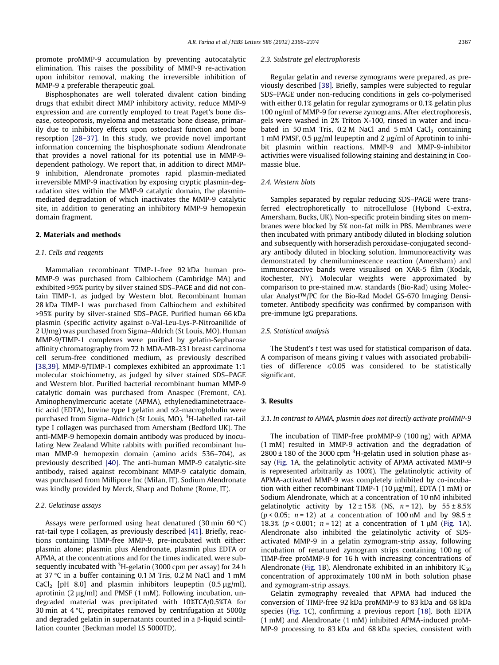promote proMMP-9 accumulation by preventing autocatalytic elimination. This raises the possibility of MMP-9 re-activation upon inhibitor removal, making the irreversible inhibition of MMP-9 a preferable therapeutic goal.

Bisphosphonates are well tolerated divalent cation binding drugs that exhibit direct MMP inhibitory activity, reduce MMP-9 expression and are currently employed to treat Paget's bone disease, osteoporosis, myeloma and metastatic bone disease, primarily due to inhibitory effects upon osteoclast function and bone resorption [\[28–37\].](#page-8-0) In this study, we provide novel important information concerning the bisphosphonate sodium Alendronate that provides a novel rational for its potential use in MMP-9 dependent pathology. We report that, in addition to direct MMP-9 inhibition, Alendronate promotes rapid plasmin-mediated irreversible MMP-9 inactivation by exposing cryptic plasmin-degradation sites within the MMP-9 catalytic domain, the plasminmediated degradation of which inactivates the MMP-9 catalytic site, in addition to generating an inhibitory MMP-9 hemopexin domain fragment.

# 2. Materials and methods

#### 2.1. Cells and reagents

Mammalian recombinant TIMP-1-free 92 kDa human pro-MMP-9 was purchased from Calbiochem (Cambridge MA) and exhibited >95% purity by silver stained SDS–PAGE and did not contain TIMP-1, as judged by Western blot. Recombinant human 28 kDa TIMP-1 was purchased from Calbiochem and exhibited >95% purity by silver-stained SDS–PAGE. Purified human 66 kDa plasmin (specific activity against p-Val-Leu-Lys-P-Nitroanilide of 2 U/mg) was purchased from Sigma–Aldrich (St Louis, MO). Human MMP-9/TIMP-1 complexes were purified by gelatin-Sepharose affinity chromatography from 72 h MDA-MB-231 breast carcinoma cell serum-free conditioned medium, as previously described [\[38,39\]](#page-8-0). MMP-9/TIMP-1 complexes exhibited an approximate 1:1 molecular stoichiometry, as judged by silver stained SDS–PAGE and Western blot. Purified bacterial recombinant human MMP-9 catalytic domain was purchased from Anaspec (Fremont, CA). Aminophenylmercuric acetate (APMA), ethylenediaminetetraacetic acid (EDTA), bovine type I gelatin and  $\alpha$ 2-macroglobulin were purchased from Sigma–Aldrich (St Louis, MO). <sup>3</sup>H-labelled rat-tail type I collagen was purchased from Amersham (Bedford UK). The anti-MMP-9 hemopexin domain antibody was produced by inoculating New Zealand White rabbits with purified recombinant human MMP-9 hemopexin domain (amino acids 536–704), as previously described [\[40\]](#page-8-0). The anti-human MMP-9 catalytic-site antibody, raised against recombinant MMP-9 catalytic domain, was purchased from Millipore Inc (Milan, IT). Sodium Alendronate was kindly provided by Merck, Sharp and Dohme (Rome, IT).

#### 2.2. Gelatinase assays

Assays were performed using heat denatured (30 min 60  $^{\circ}$ C) rat-tail type I collagen, as previously described [\[41\]](#page-8-0). Briefly, reactions containing TIMP-free MMP-9, pre-incubated with either: plasmin alone; plasmin plus Alendronate, plasmin plus EDTA or APMA, at the concentrations and for the times indicated, were subsequently incubated with <sup>3</sup>H-gelatin (3000 cpm per assay) for 24 h at 37 °C in a buffer containing 0.1 M Tris, 0.2 M NaCl and 1 mM CaCl<sub>2</sub> [pH 8.0] and plasmin inhibitors leupeptin  $(0.5 \mu g/ml)$ , aprotinin (2  $\mu$ g/ml) and PMSF (1 mM). Following incubation, undegraded material was precipitated with 10%TCA/0.5%TA for 30 min at  $4^{\circ}$ C, precipitates removed by centrifugation at 5000g and degraded gelatin in supernatants counted in a  $\beta$ -liquid scintillation counter (Beckman model LS 5000TD).

#### 2.3. Substrate gel electrophoresis

Regular gelatin and reverse zymograms were prepared, as previously described [\[38\]](#page-8-0). Briefly, samples were subjected to regular SDS–PAGE under non-reducing conditions in gels co-polymerised with either 0.1% gelatin for regular zymograms or 0.1% gelatin plus 100 ng/ml of MMP-9 for reverse zymograms. After electrophoresis, gels were washed in 2% Triton X-100, rinsed in water and incubated in 50 mM Tris,  $0.2$  M NaCl and 5 mM CaCl<sub>2</sub> containing 1 mM PMSF, 0.5  $\mu$ g/ml leupeptin and 2  $\mu$ g/ml of Aprotinin to inhibit plasmin within reactions. MMP-9 and MMP-9-inhibitor activities were visualised following staining and destaining in Coomassie blue.

#### 2.4. Western blots

Samples separated by regular reducing SDS–PAGE were transferred electrophoretically to nitrocellulose (Hybond C-extra, Amersham, Bucks, UK). Non-specific protein binding sites on membranes were blocked by 5% non-fat milk in PBS. Membranes were then incubated with primary antibody diluted in blocking solution and subsequently with horseradish peroxidase-conjugated secondary antibody diluted in blocking solution. Immunoreactivity was demonstrated by chemiluminescence reaction (Amersham) and immunoreactive bands were visualised on XAR-5 film (Kodak, Rochester, NY). Molecular weights were approximated by comparison to pre-stained m.w. standards (Bio-Rad) using Molecular Analyst™/PC for the Bio-Rad Model GS-670 Imaging Densitometer. Antibody specificity was confirmed by comparison with pre-immune IgG preparations.

## 2.5. Statistical analysis

The Student's t test was used for statistical comparison of data. A comparison of means giving t values with associated probabilities of difference  $\leq 0.05$  was considered to be statistically significant.

#### 3. Results

# 3.1. In contrast to APMA, plasmin does not directly activate proMMP-9

The incubation of TIMP-free proMMP-9 (100 ng) with APMA (1 mM) resulted in MMP-9 activation and the degradation of  $2800 \pm 180$  of the 3000 cpm  $3H$ -gelatin used in solution phase assay [\(Fig. 1A](#page-2-0), the gelatinolytic activity of APMA activated MMP-9 is represented arbitrarily as 100%). The gelatinolytic activity of APMA-activated MMP-9 was completely inhibited by co-incubation with either recombinant TIMP-1 (10  $\mu$ g/ml), EDTA (1 mM) or Sodium Alendronate, which at a concentration of 10 nM inhibited gelatinolytic activity by  $12 \pm 15\%$  (NS,  $n = 12$ ), by  $55 \pm 8.5\%$ ( $p$  < 0.05;  $n = 12$ ) at a concentration of 100 nM and by 98.5 ± 18.3% ( $p < 0.001$ ;  $n = 12$ ) at a concentration of 1  $\mu$ M ([Fig. 1](#page-2-0)A). Alendronate also inhibited the gelatinolytic activity of SDSactivated MMP-9 in a gelatin zymogram-strip assay, following incubation of renatured zymogram strips containing 100 ng of TIMP-free proMMP-9 for 16 h with increasing concentrations of Alendronate ([Fig. 1B](#page-2-0)). Alendronate exhibited in an inhibitory  $IC_{50}$ concentration of approximately 100 nM in both solution phase and zymogram-strip assays.

Gelatin zymography revealed that APMA had induced the conversion of TIMP-free 92 kDa proMMP-9 to 83 kDa and 68 kDa species ([Fig. 1C](#page-2-0)), confirming a previous report [\[18\].](#page-7-0) Both EDTA (1 mM) and Alendronate (1 mM) inhibited APMA-induced proM-MP-9 processing to 83 kDa and 68 kDa species, consistent with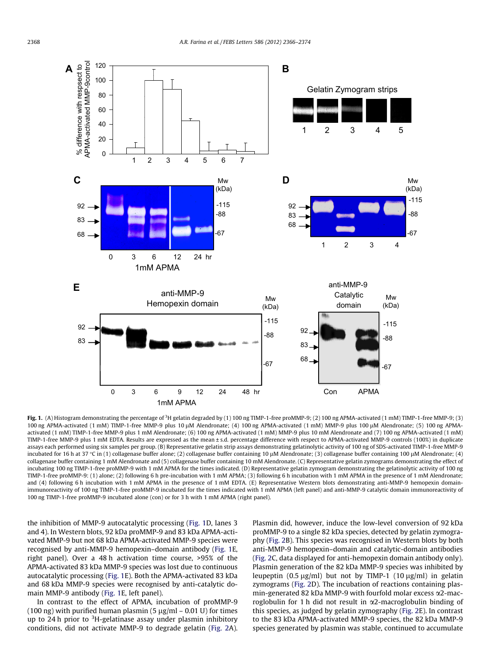<span id="page-2-0"></span>

**Fig. 1.** (A) Histogram demonstrating the percentage of <sup>3</sup>H gelatin degraded by (1) 100 ng TIMP-1-free proMMP-9; (2) 100 ng APMA-activated (1 mM) TIMP-1-free MMP-9; (3) 100 ng APMA-activated (1 mM) TIMP-1-free MMP-9 plus 10 lM Alendronate; (4) 100 ng APMA-activated (1 mM) MMP-9 plus 100 lM Alendronate; (5) 100 ng APMAactivated (1 mM) TIMP-1-free MMP-9 plus 1 mM Alendronate; (6) 100 ng APMA-activated (1 mM) MMP-9 plus 10 mM Alendronate and (7) 100 ng APMA-activated (1 mM) TIMP-1-free MMP-9 plus 1 mM EDTA. Results are expressed as the mean ± s.d. percentage difference with respect to APMA-activated MMP-9 controls (100%) in duplicate assays each performed using six samples per group. (B) Representative gelatin strip assays demonstrating gelatinolytic activity of 100 ng of SDS-activated TIMP-1-free MMP-9 incubated for 16 h at 37 °C in (1) collagenase buffer alone; (2) collagenase buffer containing 10 µM Alendronate; (3) collagenase buffer containing 100 µM Alendronate; (4) collagenase buffer containing 1 mM Alendronate and (5) collagenase buffer containing 10 mM Alendronate. (C) Representative gelatin zymograms demonstrating the effect of incubating 100 ng TIMP-1-free proMMP-9 with 1 mM APMA for the times indicated. (D) Representative gelatin zymogram demonstrating the gelatinolytic activity of 100 ng TIMP-1-free proMMP-9: (1) alone; (2) following 6 h pre-incubation with 1 mM APMA; (3) following 6 h incubation with 1 mM APMA in the presence of 1 mM Alendronate; and (4) following 6 h incubation with 1 mM APMA in the presence of 1 mM EDTA. (E) Representative Western blots demonstrating anti-MMP-9 hemopexin domainimmunoreactivity of 100 ng TIMP-1-free proMMP-9 incubated for the times indicated with 1 mM APMA (left panel) and anti-MMP-9 catalytic domain immunoreactivity of 100 ng TIMP-1-free proMMP-9 incubated alone (con) or for 3 h with 1 mM APMA (right panel).

the inhibition of MMP-9 autocatalytic processing (Fig. 1D, lanes 3 and 4). In Western blots, 92 kDa proMMP-9 and 83 kDa APMA-activated MMP-9 but not 68 kDa APMA-activated MMP-9 species were recognised by anti-MMP-9 hemopexin–domain antibody (Fig. 1E, right panel). Over a 48 h activation time course, >95% of the APMA-activated 83 kDa MMP-9 species was lost due to continuous autocatalytic processing (Fig. 1E). Both the APMA-activated 83 kDa and 68 kDa MMP-9 species were recognised by anti-catalytic domain MMP-9 antibody (Fig. 1E, left panel).

In contrast to the effect of APMA, incubation of proMMP-9 (100 ng) with purified human plasmin (5  $\mu$ g/ml – 0.01 U) for times up to 24 h prior to <sup>3</sup>H-gelatinase assay under plasmin inhibitory conditions, did not activate MMP-9 to degrade gelatin [\(Fig. 2](#page-3-0)A). Plasmin did, however, induce the low-level conversion of 92 kDa proMMP-9 to a single 82 kDa species, detected by gelatin zymography [\(Fig. 2](#page-3-0)B). This species was recognised in Western blots by both anti-MMP-9 hemopexin–domain and catalytic-domain antibodies ([Fig. 2C](#page-3-0), data displayed for anti-hemopexin domain antibody only). Plasmin generation of the 82 kDa MMP-9 species was inhibited by leupeptin (0.5  $\mu$ g/ml) but not by TIMP-1 (10  $\mu$ g/ml) in gelatin zymograms [\(Fig. 2D](#page-3-0)). The incubation of reactions containing plasmin-generated 82 kDa MMP-9 with fourfold molar excess a2-macroglobulin for 1 h did not result in  $\alpha$ 2-macroglobulin binding of this species, as judged by gelatin zymography [\(Fig. 2](#page-3-0)E). In contrast to the 83 kDa APMA-activated MMP-9 species, the 82 kDa MMP-9 species generated by plasmin was stable, continued to accumulate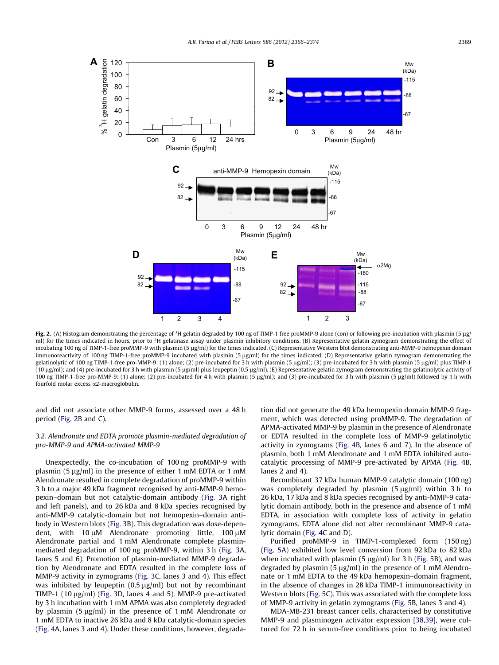<span id="page-3-0"></span>

Fig. 2. (A) Histogram demonstrating the percentage of <sup>3</sup>H gelatin degraded by 100 ng of TIMP-1 free proMMP-9 alone (con) or following pre-incubation with plasmin (5 µg ml) for the times indicated in hours, prior to <sup>3</sup>H gelatinase assay under plasmin inhibitory conditions. (B) Representative gelatin zymogram demonstrating the effect of incubating 100 ng of TIMP-1-free proMMP-9 with plasmin (5 µg/ml) for the times indicated. (C) Representative Western blot demonstrating anti-MMP-9 hemopexin domain immunoreactivity of 100 ng TIMP-1-free proMMP-9 incubated with plasmin (5 µg/ml) for the times indicated. (D) Representative gelatin zymogram demonstrating the gelatinolytic of 100 ng TIMP-1-free pro-MMP-9: (1) alone; (2) pre-incubated for 3 h with plasmin (5 µg/ml); (3) pre-incubated for 3 h with plasmin (5 µg/ml) plus TIMP-1 (10 µg/ml); and (4) pre-incubated for 3 h with plasmin (5 µg/ml) plus leupeptin (0.5 µg/ml). (E) Representative gelatin zymogram demonstrating the gelatinolytic activity of 100 ng TIMP-1-free pro-MMP-9: (1) alone; (2) pre-incubated for 4 h with plasmin (5 lg/ml); and (3) pre-incubated for 3 h with plasmin (5 lg/ml) followed by 1 h with fourfold molar excess a2-macroglobulin.

and did not associate other MMP-9 forms, assessed over a 48 h period (Fig. 2B and C).

# 3.2. Alendronate and EDTA promote plasmin-mediated degradation of pro-MMP-9 and APMA-activated MMP-9

Unexpectedly, the co-incubation of 100 ng proMMP-9 with plasmin (5  $\mu$ g/ml) in the presence of either 1 mM EDTA or 1 mM Alendronate resulted in complete degradation of proMMP-9 within 3 h to a major 49 kDa fragment recognised by anti-MMP-9 hemopexin–domain but not catalytic-domain antibody ([Fig. 3A](#page-4-0) right and left panels), and to 26 kDa and 8 kDa species recognised by anti-MMP-9 catalytic-domain but not hemopexin–domain antibody in Western blots [\(Fig. 3B](#page-4-0)). This degradation was dose-dependent, with  $10 \mu$ M Alendronate promoting little,  $100 \mu$ M Alendronate partial and 1 mM Alendronate complete plasminmediated degradation of 100 ng proMMP-9, within 3 h ([Fig. 3](#page-4-0)A, lanes 5 and 6). Promotion of plasmin-mediated MMP-9 degradation by Alendronate and EDTA resulted in the complete loss of MMP-9 activity in zymograms [\(Fig. 3](#page-4-0)C, lanes 3 and 4). This effect was inhibited by leupeptin  $(0.5 \mu g/ml)$  but not by recombinant TIMP-1 (10  $\mu$ g/ml) ([Fig. 3D](#page-4-0), lanes 4 and 5). MMP-9 pre-activated by 3 h incubation with 1 mM APMA was also completely degraded by plasmin  $(5 \mu g/ml)$  in the presence of 1 mM Alendronate or 1 mM EDTA to inactive 26 kDa and 8 kDa catalytic-domain species ([Fig. 4A](#page-5-0), lanes 3 and 4). Under these conditions, however, degradation did not generate the 49 kDa hemopexin domain MMP-9 fragment, which was detected using proMMP-9. The degradation of APMA-activated MMP-9 by plasmin in the presence of Alendronate or EDTA resulted in the complete loss of MMP-9 gelatinolytic activity in zymograms ([Fig. 4B](#page-5-0), lanes 6 and 7). In the absence of plasmin, both 1 mM Alendronate and 1 mM EDTA inhibited autocatalytic processing of MMP-9 pre-activated by APMA ([Fig. 4B](#page-5-0), lanes 2 and 4).

Recombinant 37 kDa human MMP-9 catalytic domain (100 ng) was completely degraded by plasmin  $(5 \mu g/ml)$  within 3 h to 26 kDa, 17 kDa and 8 kDa species recognised by anti-MMP-9 catalytic domain antibody, both in the presence and absence of 1 mM EDTA, in association with complete loss of activity in gelatin zymograms. EDTA alone did not alter recombinant MMP-9 catalytic domain ([Fig. 4](#page-5-0)C and D).

Purified proMMP-9 in TIMP-1-complexed form (150 ng) ([Fig. 5](#page-6-0)A) exhibited low level conversion from 92 kDa to 82 kDa when incubated with plasmin (5  $\mu$ g/ml) for 3 h ([Fig. 5](#page-6-0)B), and was degraded by plasmin (5  $\mu$ g/ml) in the presence of 1 mM Alendronate or 1 mM EDTA to the 49 kDa hemopexin–domain fragment, in the absence of changes in 28 kDa TIMP-1 immunoreactivity in Western blots [\(Fig. 5](#page-6-0)C). This was associated with the complete loss of MMP-9 activity in gelatin zymograms [\(Fig. 5B](#page-6-0), lanes 3 and 4).

MDA-MB-231 breast cancer cells, characterised by constitutive MMP-9 and plasminogen activator expression [\[38,39\]](#page-8-0), were cultured for 72 h in serum-free conditions prior to being incubated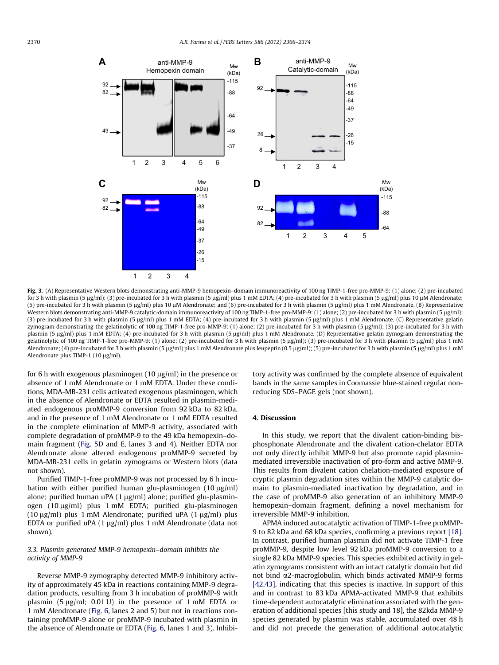<span id="page-4-0"></span>

Fig. 3. (A) Representative Western blots demonstrating anti-MMP-9 hemopexin–domain immunoreactivity of 100 ng TIMP-1-free pro-MMP-9: (1) alone; (2) pre-incubated for 3 h with plasmin (5 µg/ml); (3) pre-incubated for 3 h with plasmin (5 µg/ml) plus 1 mM EDTA; (4) pre-incubated for 3 h with plasmin (5 µg/ml) plus 10 µM Alendronate; (5) pre-incubated for 3 h with plasmin (5 µg/ml) plus 10 µM Alendronate; and (6) pre-incubated for 3 h with plasmin (5 µg/ml) plus 1 mM Alendronate. (B) Representative Western blots demonstrating anti-MMP-9 catalytic-domain immunoreactivity of 100 ng TIMP-1-free pro-MMP-9: (1) alone; (2) pre-incubated for 3 h with plasmin (5 µg/ml); (3) pre-incubated for 3 h with plasmin (5 µg/ml) plus 1 mM EDTA; (4) pre-incubated for 3 h with plasmin (5 µg/ml) plus 1 mM Alendronate. (C) Representative gelatin zymogram demonstrating the gelatinolytic of 100 ng TIMP-1-free pro-MMP-9: (1) alone; (2) pre-incubated for 3 h with plasmin (5 µg/ml); (3) pre-incubated for 3 h with plasmin (5 µg/ml) plus 1 mM EDTA; (4) pre-incubated for 3 h with plasmin (5 µg/ml) plus 1 mM Alendronate. (D) Representative gelatin zymogram demonstrating the gelatinolytic of 100 ng TIMP-1-free pro-MMP-9: (1) alone; (2) pre-incubated for 3 h with plasmin (5 µg/ml); (3) pre-incubated for 3 h with plasmin (5 µg/ml) plus 1 mM Alendronate; (4) pre-incubated for 3 h with plasmin (5 µg/ml) plus 1 mM Alendronate plus leupeptin (0.5 µg/ml); (5) pre-incubated for 3 h with plasmin (5 µg/ml) plus 1 mM Alendronate plus TIMP-1 (10  $\mu$ g/ml).

for 6 h with exogenous plasminogen (10  $\mu$ g/ml) in the presence or absence of 1 mM Alendronate or 1 mM EDTA. Under these conditions, MDA-MB-231 cells activated exogenous plasminogen, which in the absence of Alendronate or EDTA resulted in plasmin-mediated endogenous proMMP-9 conversion from 92 kDa to 82 kDa, and in the presence of 1 mM Alendronate or 1 mM EDTA resulted in the complete elimination of MMP-9 activity, associated with complete degradation of proMMP-9 to the 49 kDa hemopexin–domain fragment [\(Fig. 5](#page-6-0)D and E, lanes 3 and 4). Neither EDTA nor Alendronate alone altered endogenous proMMP-9 secreted by MDA-MB-231 cells in gelatin zymograms or Western blots (data not shown).

Purified TIMP-1-free proMMP-9 was not processed by 6 h incubation with either purified human glu-plasminogen  $(10 \mu g/ml)$ alone; purified human uPA  $(1 \mu g/ml)$  alone; purified glu-plasminogen (10 µg/ml) plus 1 mM EDTA; purified glu-plasminogen (10  $\mu$ g/ml) plus 1 mM Alendronate; purified uPA (1  $\mu$ g/ml) plus EDTA or purified uPA  $(1 \mu g/ml)$  plus 1 mM Alendronate (data not shown).

# 3.3. Plasmin generated MMP-9 hemopexin–domain inhibits the activity of MMP-9

Reverse MMP-9 zymography detected MMP-9 inhibitory activity of approximately 45 kDa in reactions containing MMP-9 degradation products, resulting from 3 h incubation of proMMP-9 with plasmin  $(5 \mu g/ml; 0.01 U)$  in the presence of 1 mM EDTA or 1 mM Alendronate [\(Fig. 6](#page-7-0), lanes 2 and 5) but not in reactions containing proMMP-9 alone or proMMP-9 incubated with plasmin in the absence of Alendronate or EDTA [\(Fig. 6,](#page-7-0) lanes 1 and 3). Inhibitory activity was confirmed by the complete absence of equivalent bands in the same samples in Coomassie blue-stained regular nonreducing SDS–PAGE gels (not shown).

#### 4. Discussion

In this study, we report that the divalent cation-binding bisphosphonate Alendronate and the divalent cation-chelator EDTA not only directly inhibit MMP-9 but also promote rapid plasminmediated irreversible inactivation of pro-form and active MMP-9. This results from divalent cation chelation-mediated exposure of cryptic plasmin degradation sites within the MMP-9 catalytic domain to plasmin-mediated inactivation by degradation, and in the case of proMMP-9 also generation of an inhibitory MMP-9 hemopexin–domain fragment, defining a novel mechanism for irreversible MMP-9 inhibition.

APMA induced autocatalytic activation of TIMP-1-free proMMP-9 to 82 kDa and 68 kDa species, confirming a previous report [\[18\].](#page-7-0) In contrast, purified human plasmin did not activate TIMP-1 free proMMP-9, despite low level 92 kDa proMMP-9 conversion to a single 82 kDa MMP-9 species. This species exhibited activity in gelatin zymograms consistent with an intact catalytic domain but did not bind a2-macroglobulin, which binds activated MMP-9 forms [\[42,43\],](#page-8-0) indicating that this species is inactive. In support of this and in contrast to 83 kDa APMA-activated MMP-9 that exhibits time-dependent autocatalytic elimination associated with the generation of additional species [this study and 18], the 82kda MMP-9 species generated by plasmin was stable, accumulated over 48 h and did not precede the generation of additional autocatalytic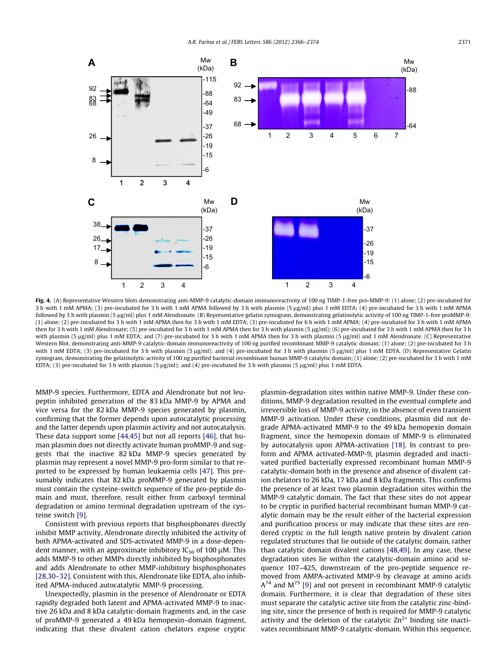<span id="page-5-0"></span>

Fig. 4. (A) Representative Western blots demonstrating anti-MMP-9 catalytic-domain immunoreactivity of 100 ng TIMP-1-free pro-MMP-9: (1) alone; (2) pre-incubated for 3 h with 1 mM APMA; (3) pre-incubated for 3 h with 1 mM APMA followed by 3 h with plasmin (5 µg/ml) plus 1 mM EDTA; (4) pre-incubated for 3 h with 1 mM APMA followed by 3 h with plasmin (5 ug/ml) plus 1 mM Alendronate. (B) Representative gelatin zymogram, demonstrating gelatinolytic activity of 100 ng TIMP-1-free proMMP-9: (1) alone; (2) pre-incubated for 3 h with 1 mM APMA then for 3 h with 1 mM EDTA; (3) pre-incubated for 6 h with 1 mM APMA; (4) pre-incubated for 3 h with 1 mM APMA then for 3 h with 1 mM Alendronate; (5) pre-incubated for 3 h with 1 mM APMA then for 3 h with plasmin (5 µg/ml); (6) pre-incubated for 3 h with 1 mM APMA then for 3 h with plasmin (5 µg/ml) plus 1 mM EDTA; and (7) pre-incubated for 3 h with 1 mM APMA then for 3 h with plasmin (5 µg/ml) and 1 mM Alendronate. (C) Representative Western Blot, demonstrating anti-MMP-9 catalytic-domain immunoreactivity of 100 ng purified recombinant MMP-9 catalytic domain; (1) alone; (2) pre-incubated for 3 h with 1 mM EDTA; (3) pre-incubated for 3 h with plasmin (5  $\mu$ g/ml); and (4) pre-incubated for 3 h with plasmin (5  $\mu$ g/ml) plus 1 mM EDTA, (D) Representative Gelatin zymogram, demonstrating the gelatinolytic activity of 100 ng purified bacterial recombinant human MMP-9 catalytic domain; (1) alone; (2) pre-incubated for 3 h with 1 mM EDTA; (3) pre-incubated for 3 h with plasmin (5  $\mu$ g/ml); and (4) pre-incubated for 3 h with plasmin (5  $\mu$ g/ml) plus 1 mM EDTA.

MMP-9 species. Furthermore, EDTA and Alendronate but not leupeptin inhibited generation of the 83 kDa MMP-9 by APMA and vice versa for the 82 kDa MMP-9 species generated by plasmin, confirming that the former depends upon autocatalytic processing and the latter depends upon plasmin activity and not autocatalysis. These data support some [\[44,45\]](#page-8-0) but not all reports [\[46\],](#page-8-0) that human plasmin does not directly activate human proMMP-9 and suggests that the inactive 82 kDa MMP-9 species generated by plasmin may represent a novel MMP-9 pro-form similar to that reported to be expressed by human leukaemia cells [\[47\].](#page-8-0) This presumably indicates that 82 kDa proMMP-9 generated by plasmin must contain the cysteine-switch sequence of the pro-peptide domain and must, therefore, result either from carboxyl terminal degradation or amino terminal degradation upstream of the cysteine switch [\[9\].](#page-7-0)

Consistent with previous reports that bisphosphonates directly inhibit MMP activity, Alendronate directly inhibited the activity of both APMA-activated and SDS-activated MMP-9 in a dose-dependent manner, with an approximate inhibitory  $IC_{50}$  of 100  $\mu$ M. This adds MMP-9 to other MMPs directly inhibited by bisphosphonates and adds Alendronate to other MMP-inhibitory bisphosphonates [\[28,30–32\].](#page-8-0) Consistent with this, Alendronate like EDTA, also inhibited APMA-induced autocatalytic MMP-9 processing.

Unexpectedly, plasmin in the presence of Alendronate or EDTA rapidly degraded both latent and APMA-activated MMP-9 to inactive 26 kDa and 8 kDa catalytic-domain fragments and, in the case of proMMP-9 generated a 49 kDa hemopexin–domain fragment, indicating that these divalent cation chelators expose cryptic plasmin-degradation sites within native MMP-9. Under these conditions, MMP-9 degradation resulted in the eventual complete and irreversible loss of MMP-9 activity, in the absence of even transient MMP-9 activation. Under these conditions, plasmin did not degrade APMA-activated MMP-9 to the 49 kDa hemopexin domain fragment, since the hemopexin domain of MMP-9 is eliminated by autocatalysis upon APMA-activation [\[18\]](#page-7-0). In contrast to proform and APMA activated-MMP-9, plasmin degraded and inactivated purified bacterially expressed recombinant human MMP-9 catalytic-domain both in the presence and absence of divalent cation chelators to 26 kDa, 17 kDa and 8 kDa fragments. This confirms the presence of at least two plasmin degradation sites within the MMP-9 catalytic domain. The fact that these sites do not appear to be cryptic in purified bacterial recombinant human MMP-9 catalytic domain may be the result either of the bacterial expression and purification process or may indicate that these sites are rendered cryptic in the full length native protein by divalent cation regulated structures that lie outside of the catalytic domain, rather than catalytic domain divalent cations [\[48,49\]](#page-8-0). In any case, these degradation sites lie within the catalytic-domain amino acid sequence 107–425, downstream of the pro-peptide sequence removed from AMPA-activated MMP-9 by cleavage at amino acids  $A^{74}$  and M<sup>75</sup> [\[9\]](#page-7-0) and not present in recombinant MMP-9 catalytic domain. Furthermore, it is clear that degradation of these sites must separate the catalytic active site from the catalytic zinc-binding site, since the presence of both is required for MMP-9 catalytic activity and the deletion of the catalytic  $Zn^{2+}$  binding site inactivates recombinant MMP-9 catalytic-domain. Within this sequence,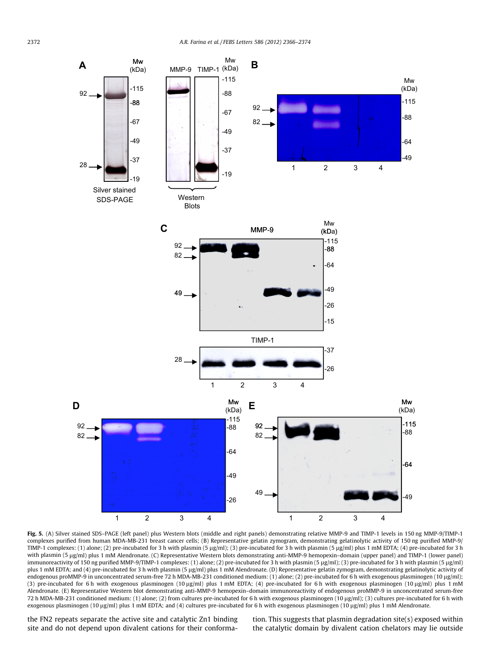<span id="page-6-0"></span>

Fig. 5. (A) Silver stained SDS–PAGE (left panel) plus Western blots (middle and right panels) demonstrating relative MMP-9 and TIMP-1 levels in 150 ng MMP-9/TIMP-1 complexes purified from human MDA-MB-231 breast cancer cells; (B) Representative gelatin zymogram, demonstrating gelatinolytic activity of 150 ng purified MMP-9/ TIMP-1 complexes: (1) alone; (2) pre-incubated for 3 h with plasmin (5 µg/ml); (3) pre-incubated for 3 h with plasmin (5 µg/ml) plus 1 mM EDTA; (4) pre-incubated for 3 h with plasmin (5 lg/ml) plus 1 mM Alendronate. (C) Representative Western blots demonstrating anti-MMP-9 hemopexin–domain (upper panel) and TIMP-1 (lower panel) immunoreactivity of 150 ng purified MMP-9/TIMP-1 complexes: (1) alone; (2) pre-incubated for 3 h with plasmin (5 µg/ml); (3) pre-incubated for 3 h with plasmin (5 µg/ml) plus 1 mM EDTA; and (4) pre-incubated for 3 h with plasmin (5 µg/ml) plus 1 mM Alendronate. (D) Representative gelatin zymogram, demonstrating gelatinolytic activity of endogenous proMMP-9 in unconcentrated serum-free 72 h MDA-MB-231 conditioned medium: (1) alone; (2) pre-incubated for 6 h with exogenous plasminogen (10 µg/ml); (3) pre-incubated for 6 h with exogenous plasminogen (10 µg/ml) plus 1 mM EDTA; (4) pre-incubated for 6 h with exogenous plasminogen (10 µg/ml) plus 1 mM Alendronate. (E) Representative Western blot demonstrating anti-MMP-9 hemopexin–domain immunoreactivity of endogenous proMMP-9 in unconcentrated serum-free 72 h MDA-MB-231 conditioned medium: (1) alone; (2) from cultures pre-incubated for 6 h with exogenous plasminogen (10 µg/ml); (3) cultures pre-incubated for 6 h with exogenous plasminogen (10  $\mu$ g/ml) plus 1 mM EDTA; and (4) cultures pre-incubated for 6 h with exogenous plasminogen (10  $\mu$ g/ml) plus 1 mM Alendronate.

the FN2 repeats separate the active site and catalytic Zn1 binding site and do not depend upon divalent cations for their conforma-

tion. This suggests that plasmin degradation site(s) exposed within the catalytic domain by divalent cation chelators may lie outside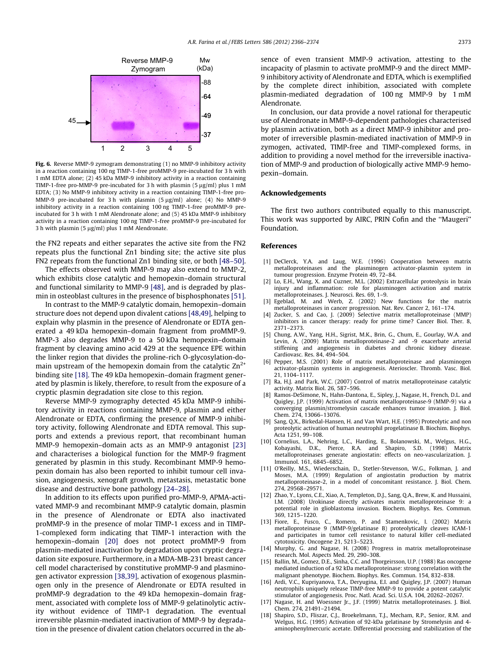<span id="page-7-0"></span>

Fig. 6. Reverse MMP-9 zymogram demonstrating (1) no MMP-9 inhibitory activity in a reaction containing 100 ng TIMP-1-free proMMP-9 pre-incubated for 3 h with 1 mM EDTA alone; (2) 45 kDa MMP-9 inhibitory activity in a reaction containing TIMP-1-free pro-MMP-9 pre-incubated for 3 h with plasmin (5  $\mu$ g/ml) plus 1 mM EDTA; (3) No MMP-9 inhibitory activity in a reaction containing TIMP-1-free pro-MMP-9 pre-incubated for 3 h with plasmin  $(5 \mu g/ml)$  alone; (4) No MMP-9 inhibitory activity in a reaction containing 100 ng TIMP-1-free proMMP-9 preincubated for 3 h with 1 mM Alendronate alone; and (5) 45 kDa MMP-9 inhibitory activity in a reaction containing 100 ng TIMP-1-free proMMP-9 pre-incubated for 3 h with plasmin (5  $\mu$ g/ml) plus 1 mM Alendronate.

the FN2 repeats and either separates the active site from the FN2 repeats plus the functional Zn1 binding site; the active site plus FN2 repeats from the functional Zn1 binding site, or both [\[48–50\].](#page-8-0)

The effects observed with MMP-9 may also extend to MMP-2, which exhibits close catalytic and hemopexin–domain structural and functional similarity to MMP-9 [\[48\]](#page-8-0), and is degraded by plasmin in osteoblast cultures in the presence of bisphosphonates [\[51\].](#page-8-0)

In contrast to the MMP-9 catalytic domain, hemopexin–domain structure does not depend upon divalent cations [\[48,49\],](#page-8-0) helping to explain why plasmin in the presence of Alendronate or EDTA generated a 49 kDa hemopexin–domain fragment from proMMP-9. MMP-3 also degrades MMP-9 to a 50 kDa hemopexin–domain fragment by cleaving amino acid 429 at the sequence EPE within the linker region that divides the proline-rich O-glycosylation-domain upstream of the hemopexin domain from the catalytic  $Zn^{2+}$ binding site [18]. The 49 kDa hemopexin–domain fragment generated by plasmin is likely, therefore, to result from the exposure of a cryptic plasmin degradation site close to this region.

Reverse MMP-9 zymography detected 45 kDa MMP-9 inhibitory activity in reactions containing MMP-9, plasmin and either Alendronate or EDTA, confirming the presence of MMP-9 inhibitory activity, following Alendronate and EDTA removal. This supports and extends a previous report, that recombinant human MMP-9 hemopexin–domain acts as an MMP-9 antagonist [\[23\]](#page-8-0) and characterises a biological function for the MMP-9 fragment generated by plasmin in this study. Recombinant MMP-9 hemopexin domain has also been reported to inhibit tumour cell invasion, angiogenesis, xenograft growth, metastasis, metastatic bone disease and destructive bone pathology [\[24–28\]](#page-8-0).

In addition to its effects upon purified pro-MMP-9, APMA-activated MMP-9 and recombinant MMP-9 catalytic domain, plasmin in the presence of Alendronate or EDTA also inactivated proMMP-9 in the presence of molar TIMP-1 excess and in TIMP-1-complexed form indicating that TIMP-1 interaction with the hemopexin–domain [\[20\]](#page-8-0) does not protect proMMP-9 from plasmin-mediated inactivation by degradation upon cryptic degradation site exposure. Furthermore, in a MDA-MB-231 breast cancer cell model characterised by constitutive proMMP-9 and plasminogen activator expression [\[38,39\],](#page-8-0) activation of exogenous plasminogen only in the presence of Alendronate or EDTA resulted in proMMP-9 degradation to the 49 kDa hemopexin–domain fragment, associated with complete loss of MMP-9 gelatinolytic activity without evidence of TIMP-1 degradation. The eventual irreversible plasmin-mediated inactivation of MMP-9 by degradation in the presence of divalent cation chelators occurred in the absence of even transient MMP-9 activation, attesting to the incapacity of plasmin to activate proMMP-9 and the direct MMP-9 inhibitory activity of Alendronate and EDTA, which is exemplified by the complete direct inhibition, associated with complete plasmin-mediated degradation of 100 ng MMP-9 by 1 mM Alendronate.

In conclusion, our data provide a novel rational for therapeutic use of Alendronate in MMP-9-dependent pathologies characterised by plasmin activation, both as a direct MMP-9 inhibitor and promoter of irreversible plasmin-mediated inactivation of MMP-9 in zymogen, activated, TIMP-free and TIMP-complexed forms, in addition to providing a novel method for the irreversible inactivation of MMP-9 and production of biologically active MMP-9 hemopexin–domain.

#### Acknowledgements

The first two authors contributed equally to this manuscript. This work was supported by AIRC, PRIN Cofin and the ''Maugeri'' Foundation.

#### References

- [1] DeClerck, Y.A. and Laug, W.E. (1996) Cooperation between matrix metalloproteinases and the plasminogen activator-plasmin system in tumour progression. Enzyme Protein 49, 72–84.
- [2] Lo, E.H., Wang, X. and Cuzner, M.L. (2002) Extracellular proteolysis in brain injury and inflammation: role for plasminogen activation and matrix metalloproteinases. J. Neurosci. Res. 69, 1–9. [3] Egeblad, M. and Werb, Z. (2002) New functions for the matrix
- metalloproteinases in cancer progression. Nat. Rev. Cancer 2, 161–174.
- [4] Zucker, S. and Cao, J. (2009) Selective matrix metalloproteinase (MMP) inhibitors in cancer therapy: ready for prime time? Cancer Biol. Ther. 8, 2371–2373.
- [5] Chung, A.W., Yang, H.H., Sigrist, M.K., Brin, G., Chum, E., Gourlay, W.A. and Levin, A. (2009) Matrix metalloproteinase-2 and -9 exacerbate arterial stiffening and angiogenesis in diabetes and chronic kidney disease. Cardiovasc. Res. 84, 494–504.
- [6] Pepper, M.S. (2001) Role of matrix metalloproteinase and plasminogen activator-plasmin systems in angiogenesis. Aterioscler. Thromb. Vasc. Biol. 21, 1104–1117.
- [7] Ra, H.J. and Park, W.C. (2007) Control of matrix metalloproteinase catalytic activity. Matrix Biol. 26, 587–596.
- [8] Ramos-DeSimone, N., Hahn-Dantona, E., Sipley, J., Nagase, H., French, D.L. and Quigley, J.P. (1999) Activation of matrix metalloproteinase-9 (MMP-9) via a converging plasmin/stromelysin cascade enhances tumor invasion. J. Biol. Chem. 274, 13066–13076.
- [9] Sang, Q.X., Birkedal-Hansen, H. and Van Wart, H.E. (1995) Proteolytic and non proteolytic activation of human neutrophil progelatinase B. Biochim. Biophys. Acta 1251, 99–108.
- [10] Cornelius, L.A., Nehring, L.C., Harding, E., Bolanowski, M., Welgus, H.G., Kobayashi, D.K., Pierce, R.A. and Shapiro, S.D. (1998) Matrix metalloproteinases generate angiostatin: effects on neo-vascularization. J. Immunol. 161, 6845–6852.
- [11] O'Reilly, M.S., Wiederschain, D., Stetler-Stevenson, W.G., Folkman, J. and Moses, M.A. (1999) Regulation of angiostatin production by matrix metalloproteinase-2, in a model of concomitant resistance. J. Biol. Chem. 274, 29568–29571.
- [12] Zhao, Y., Lyons, C.E., Xiao, A., Templeton, D.J., Sang, Q.A., Brew, K. and Hussaini, I.M. (2008) Urokinase directly activates matrix metalloproteinase 9: a potential role in glioblastoma invasion. Biochem. Biophys. Res. Commun. 369, 1215–1220.
- [13] Fiore, E., Fusco, C., Romero, P. and Stamenkovic, I. (2002) Matrix metalloproteinase 9 (MMP-9/gelatinase B) proteolytically cleaves ICAM-1 and participates in tumor cell resistance to natural killer cell-mediated cytotoxicity. Oncogene 21, 5213–5223.
- [14] Murphy, G. and Nagase, H. (2008) Progress in matrix metalloproteinase research. Mol. Aspects Med. 29, 290–308.
- [15] Ballin, M., Gomez, D.E., Sinha, C.C. and Thorgeirsson, U.P. (1988) Ras oncogene mediated induction of a 92 kDa metalloproteinase: strong correlation with the malignant phenotype. Biochem. Biophys. Res. Commun. 154, 832–838.
- [16] Ardi, V.C., Kupriyanova, T.A., Deryugina, E.I. and Quigley, J.P. (2007) Human neutrophils uniquely release TIMP-free MMP-9 to provide a potent catalytic stimulator of angiogenesis. Proc. Natl. Acad. Sci. U.S.A. 104, 20262–20267.
- [17] Nagase, H. and Woessner Jr., J.F. (1999) Matrix metalloproteinases. J. Biol. Chem. 274, 21491–21494.
- [18] Shapiro, S.D., Fliszar, C.J., Broekelmann, T.J., Mecham, R.P., Senior, R.M. and Welgus, H.G. (1995) Activation of 92-kDa gelatinase by Stromelysin and 4 aminophenylmercuric acetate. Differential processing and stabilization of the